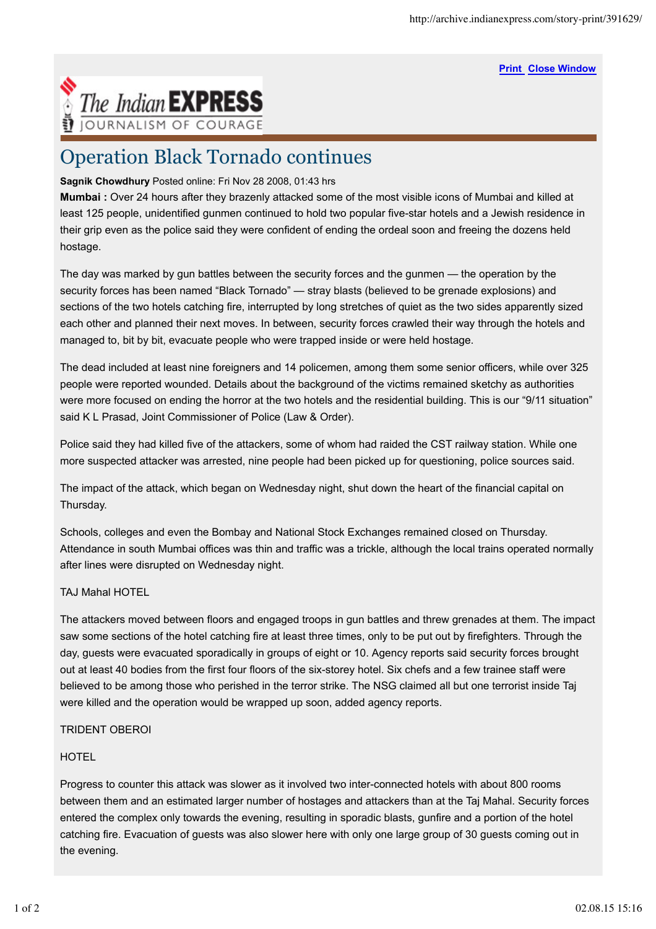**Print Close Window**



# Operation Black Tornado continues

### **Sagnik Chowdhury** Posted online: Fri Nov 28 2008, 01:43 hrs

**Mumbai :** Over 24 hours after they brazenly attacked some of the most visible icons of Mumbai and killed at least 125 people, unidentified gunmen continued to hold two popular five-star hotels and a Jewish residence in their grip even as the police said they were confident of ending the ordeal soon and freeing the dozens held hostage.

The day was marked by gun battles between the security forces and the gunmen — the operation by the security forces has been named "Black Tornado" — stray blasts (believed to be grenade explosions) and sections of the two hotels catching fire, interrupted by long stretches of quiet as the two sides apparently sized each other and planned their next moves. In between, security forces crawled their way through the hotels and managed to, bit by bit, evacuate people who were trapped inside or were held hostage.

The dead included at least nine foreigners and 14 policemen, among them some senior officers, while over 325 people were reported wounded. Details about the background of the victims remained sketchy as authorities were more focused on ending the horror at the two hotels and the residential building. This is our "9/11 situation" said K L Prasad, Joint Commissioner of Police (Law & Order).

Police said they had killed five of the attackers, some of whom had raided the CST railway station. While one more suspected attacker was arrested, nine people had been picked up for questioning, police sources said.

The impact of the attack, which began on Wednesday night, shut down the heart of the financial capital on Thursday.

Schools, colleges and even the Bombay and National Stock Exchanges remained closed on Thursday. Attendance in south Mumbai offices was thin and traffic was a trickle, although the local trains operated normally after lines were disrupted on Wednesday night.

#### TAJ Mahal HOTEL

The attackers moved between floors and engaged troops in gun battles and threw grenades at them. The impact saw some sections of the hotel catching fire at least three times, only to be put out by firefighters. Through the day, guests were evacuated sporadically in groups of eight or 10. Agency reports said security forces brought out at least 40 bodies from the first four floors of the six-storey hotel. Six chefs and a few trainee staff were believed to be among those who perished in the terror strike. The NSG claimed all but one terrorist inside Taj were killed and the operation would be wrapped up soon, added agency reports.

## TRIDENT OBEROI

## **HOTEL**

Progress to counter this attack was slower as it involved two inter-connected hotels with about 800 rooms between them and an estimated larger number of hostages and attackers than at the Taj Mahal. Security forces entered the complex only towards the evening, resulting in sporadic blasts, gunfire and a portion of the hotel catching fire. Evacuation of guests was also slower here with only one large group of 30 guests coming out in the evening.